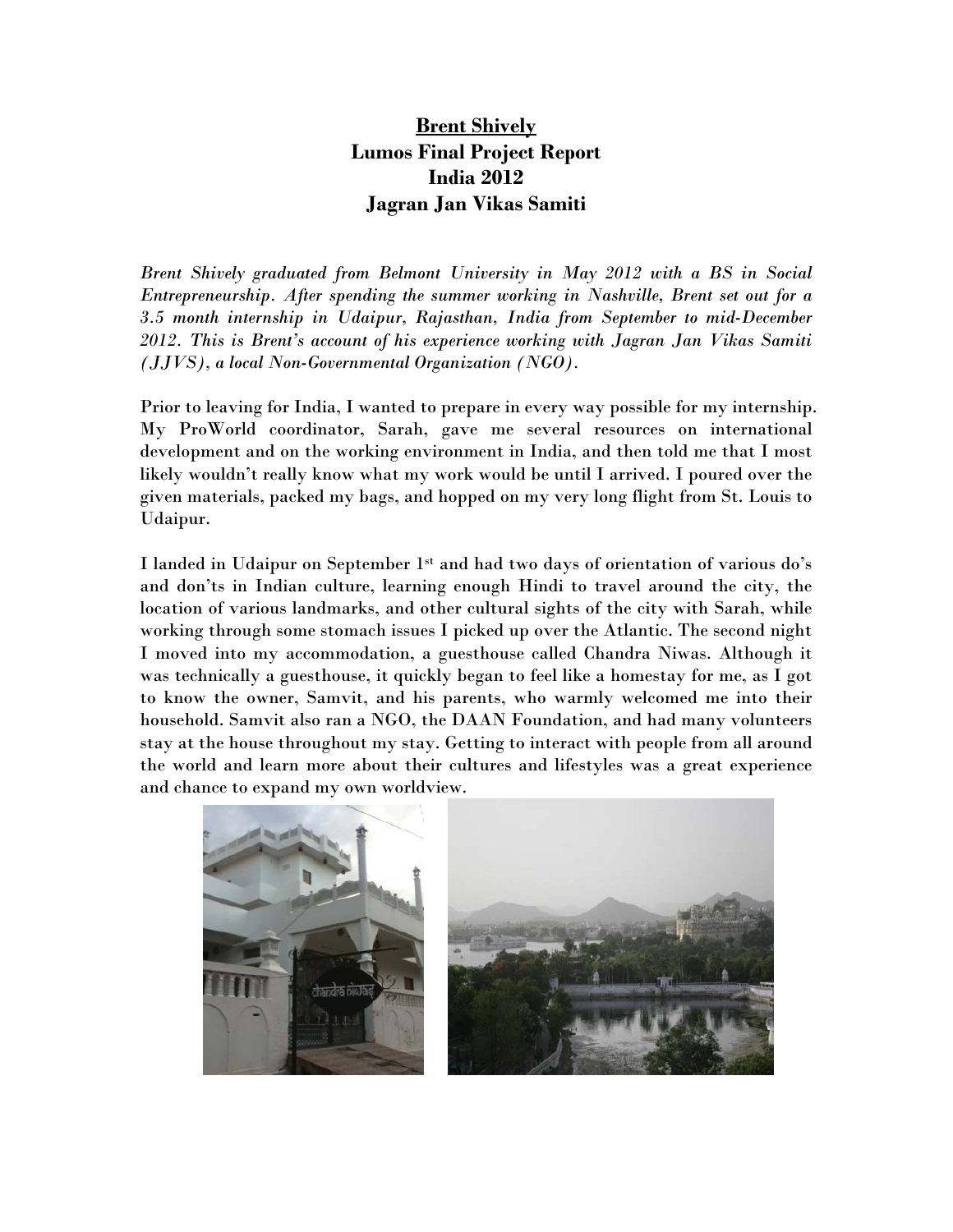## **Brent Shively Lumos Final Project Report India 2012 Jagran Jan Vikas Samiti**

*Brent Shively graduated from Belmont University in May 2012 with a BS in Social Entrepreneurship. After spending the summer working in Nashville, Brent set out for a 3.5 month internship in Udaipur, Rajasthan, India from September to mid-December 2012. This is Brent's account of his experience working with Jagran Jan Vikas Samiti (JJVS), a local Non-Governmental Organization (NGO).* 

Prior to leaving for India, I wanted to prepare in every way possible for my internship. My ProWorld coordinator, Sarah, gave me several resources on international development and on the working environment in India, and then told me that I most likely wouldn't really know what my work would be until I arrived. I poured over the given materials, packed my bags, and hopped on my very long flight from St. Louis to Udaipur.

I landed in Udaipur on September 1st and had two days of orientation of various do's and don'ts in Indian culture, learning enough Hindi to travel around the city, the location of various landmarks, and other cultural sights of the city with Sarah, while working through some stomach issues I picked up over the Atlantic. The second night I moved into my accommodation, a guesthouse called Chandra Niwas. Although it was technically a guesthouse, it quickly began to feel like a homestay for me, as I got to know the owner, Samvit, and his parents, who warmly welcomed me into their household. Samvit also ran a NGO, the DAAN Foundation, and had many volunteers stay at the house throughout my stay. Getting to interact with people from all around the world and learn more about their cultures and lifestyles was a great experience and chance to expand my own worldview.

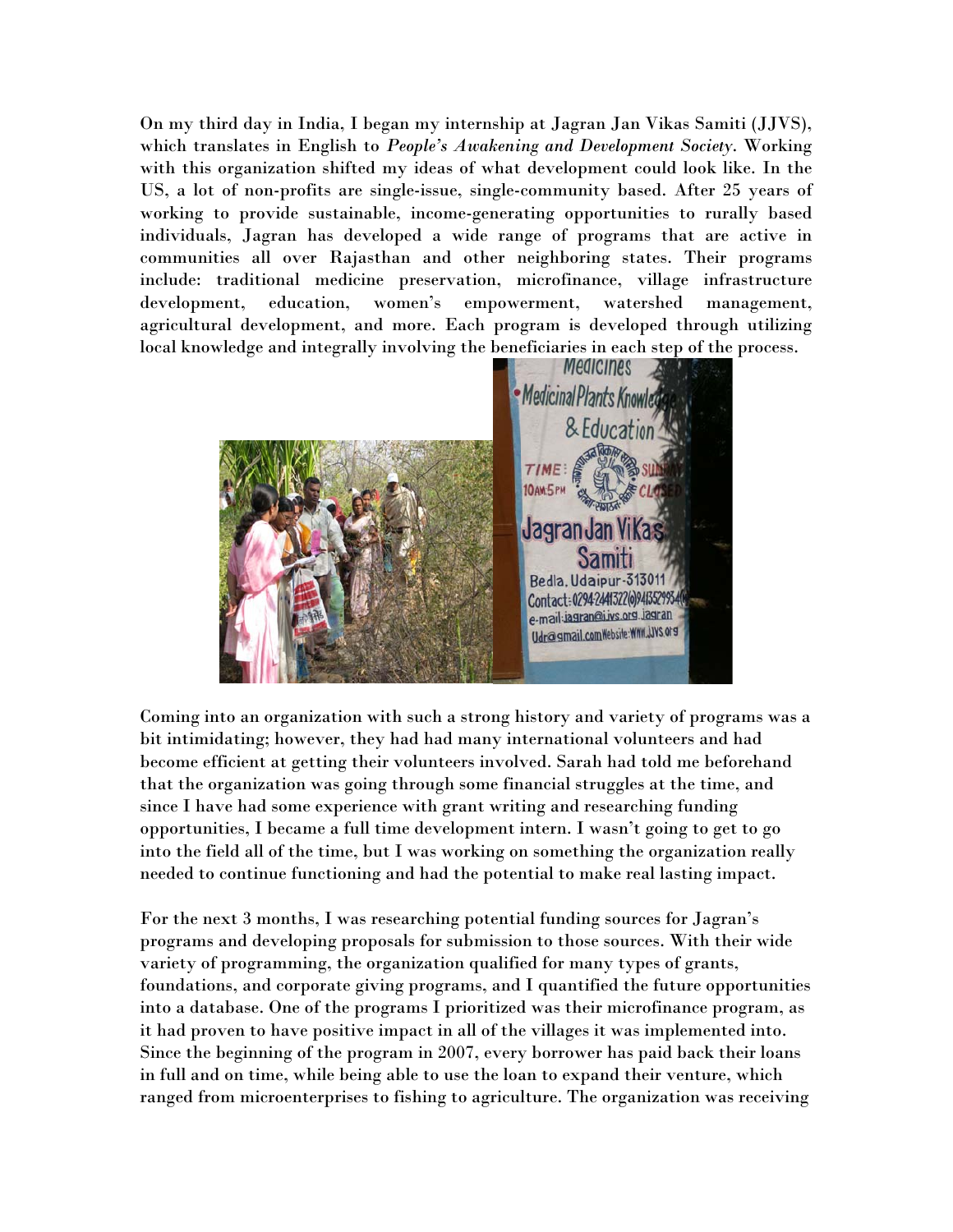On my third day in India, I began my internship at Jagran Jan Vikas Samiti (JJVS), which translates in English to *People's Awakening and Development Society*. Working with this organization shifted my ideas of what development could look like. In the US, a lot of non-profits are single-issue, single-community based. After 25 years of working to provide sustainable, income-generating opportunities to rurally based individuals, Jagran has developed a wide range of programs that are active in communities all over Rajasthan and other neighboring states. Their programs include: traditional medicine preservation, microfinance, village infrastructure development, education, women's empowerment, watershed management, agricultural development, and more. Each program is developed through utilizing local knowledge and integrally involving the beneficiaries in each step of the process.



Coming into an organization with such a strong history and variety of programs was a bit intimidating; however, they had had many international volunteers and had become efficient at getting their volunteers involved. Sarah had told me beforehand that the organization was going through some financial struggles at the time, and since I have had some experience with grant writing and researching funding opportunities, I became a full time development intern. I wasn't going to get to go into the field all of the time, but I was working on something the organization really needed to continue functioning and had the potential to make real lasting impact.

For the next 3 months, I was researching potential funding sources for Jagran's programs and developing proposals for submission to those sources. With their wide variety of programming, the organization qualified for many types of grants, foundations, and corporate giving programs, and I quantified the future opportunities into a database. One of the programs I prioritized was their microfinance program, as it had proven to have positive impact in all of the villages it was implemented into. Since the beginning of the program in 2007, every borrower has paid back their loans in full and on time, while being able to use the loan to expand their venture, which ranged from microenterprises to fishing to agriculture. The organization was receiving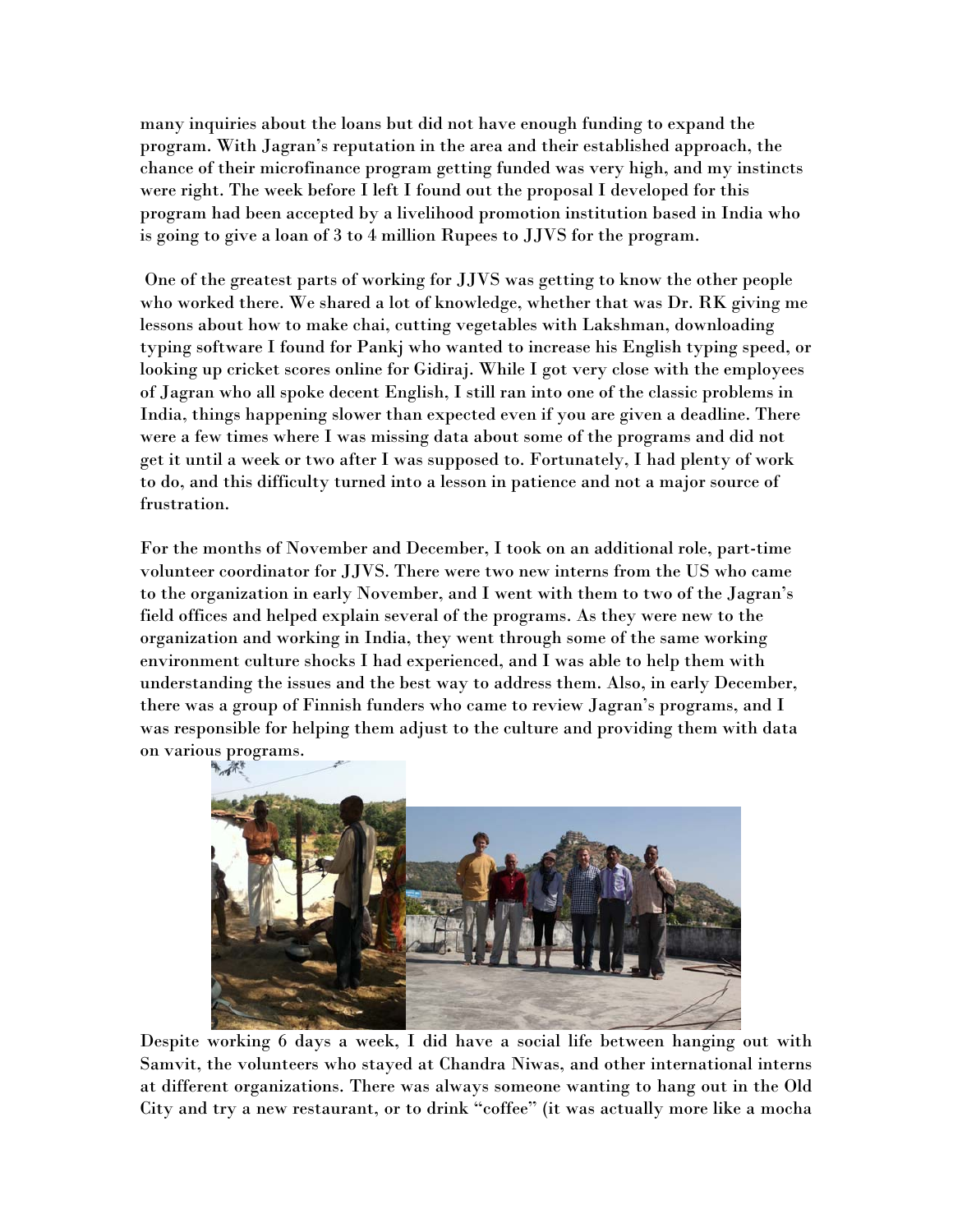many inquiries about the loans but did not have enough funding to expand the program. With Jagran's reputation in the area and their established approach, the chance of their microfinance program getting funded was very high, and my instincts were right. The week before I left I found out the proposal I developed for this program had been accepted by a livelihood promotion institution based in India who is going to give a loan of 3 to 4 million Rupees to JJVS for the program.

 One of the greatest parts of working for JJVS was getting to know the other people who worked there. We shared a lot of knowledge, whether that was Dr. RK giving me lessons about how to make chai, cutting vegetables with Lakshman, downloading typing software I found for Pankj who wanted to increase his English typing speed, or looking up cricket scores online for Gidiraj. While I got very close with the employees of Jagran who all spoke decent English, I still ran into one of the classic problems in India, things happening slower than expected even if you are given a deadline. There were a few times where I was missing data about some of the programs and did not get it until a week or two after I was supposed to. Fortunately, I had plenty of work to do, and this difficulty turned into a lesson in patience and not a major source of frustration.

For the months of November and December, I took on an additional role, part-time volunteer coordinator for JJVS. There were two new interns from the US who came to the organization in early November, and I went with them to two of the Jagran's field offices and helped explain several of the programs. As they were new to the organization and working in India, they went through some of the same working environment culture shocks I had experienced, and I was able to help them with understanding the issues and the best way to address them. Also, in early December, there was a group of Finnish funders who came to review Jagran's programs, and I was responsible for helping them adjust to the culture and providing them with data on various programs.



Despite working 6 days a week, I did have a social life between hanging out with Samvit, the volunteers who stayed at Chandra Niwas, and other international interns at different organizations. There was always someone wanting to hang out in the Old City and try a new restaurant, or to drink "coffee" (it was actually more like a mocha